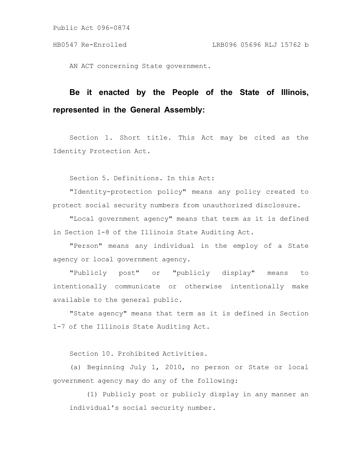AN ACT concerning State government.

## **Be it enacted by the People of the State of Illinois, represented in the General Assembly:**

Section 1. Short title. This Act may be cited as the Identity Protection Act.

Section 5. Definitions. In this Act:

"Identity-protection policy" means any policy created to protect social security numbers from unauthorized disclosure.

"Local government agency" means that term as it is defined in Section 1-8 of the Illinois State Auditing Act.

"Person" means any individual in the employ of a State agency or local government agency.

"Publicly post" or "publicly display" means to intentionally communicate or otherwise intentionally make available to the general public.

"State agency" means that term as it is defined in Section 1-7 of the Illinois State Auditing Act.

Section 10. Prohibited Activities.

(a) Beginning July 1, 2010, no person or State or local government agency may do any of the following:

(1) Publicly post or publicly display in any manner an individual's social security number.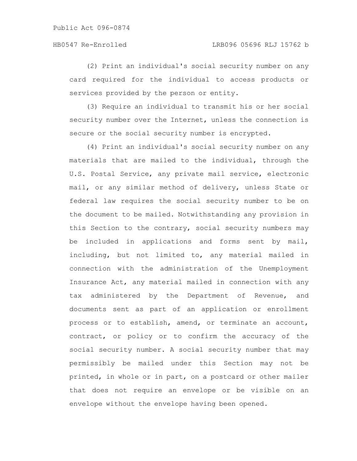(2) Print an individual's social security number on any card required for the individual to access products or services provided by the person or entity.

(3) Require an individual to transmit his or her social security number over the Internet, unless the connection is secure or the social security number is encrypted.

(4) Print an individual's social security number on any materials that are mailed to the individual, through the U.S. Postal Service, any private mail service, electronic mail, or any similar method of delivery, unless State or federal law requires the social security number to be on the document to be mailed. Notwithstanding any provision in this Section to the contrary, social security numbers may be included in applications and forms sent by mail, including, but not limited to, any material mailed in connection with the administration of the Unemployment Insurance Act, any material mailed in connection with any tax administered by the Department of Revenue, and documents sent as part of an application or enrollment process or to establish, amend, or terminate an account, contract, or policy or to confirm the accuracy of the social security number. A social security number that may permissibly be mailed under this Section may not be printed, in whole or in part, on a postcard or other mailer that does not require an envelope or be visible on an envelope without the envelope having been opened.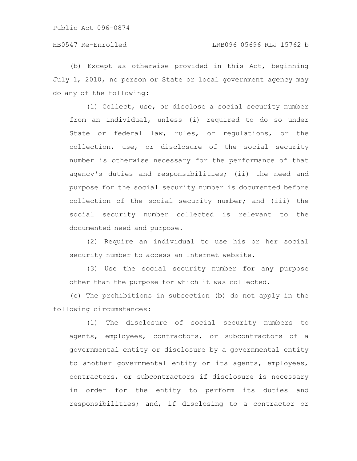(b) Except as otherwise provided in this Act, beginning July 1, 2010, no person or State or local government agency may do any of the following:

(1) Collect, use, or disclose a social security number from an individual, unless (i) required to do so under State or federal law, rules, or regulations, or the collection, use, or disclosure of the social security number is otherwise necessary for the performance of that agency's duties and responsibilities; (ii) the need and purpose for the social security number is documented before collection of the social security number; and (iii) the social security number collected is relevant to the documented need and purpose.

(2) Require an individual to use his or her social security number to access an Internet website.

(3) Use the social security number for any purpose other than the purpose for which it was collected.

(c) The prohibitions in subsection (b) do not apply in the following circumstances:

(1) The disclosure of social security numbers to agents, employees, contractors, or subcontractors of a governmental entity or disclosure by a governmental entity to another governmental entity or its agents, employees, contractors, or subcontractors if disclosure is necessary in order for the entity to perform its duties and responsibilities; and, if disclosing to a contractor or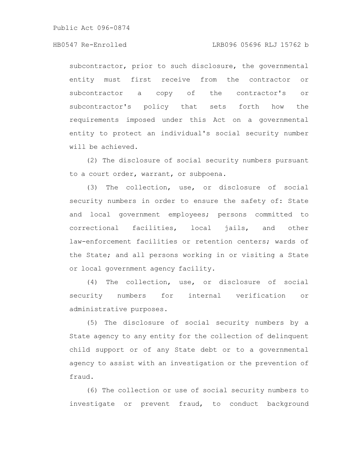subcontractor, prior to such disclosure, the governmental entity must first receive from the contractor or subcontractor a copy of the contractor's or subcontractor's policy that sets forth how the requirements imposed under this Act on a governmental entity to protect an individual's social security number will be achieved.

(2) The disclosure of social security numbers pursuant to a court order, warrant, or subpoena.

(3) The collection, use, or disclosure of social security numbers in order to ensure the safety of: State and local government employees; persons committed to correctional facilities, local jails, and other law-enforcement facilities or retention centers; wards of the State; and all persons working in or visiting a State or local government agency facility.

(4) The collection, use, or disclosure of social security numbers for internal verification or administrative purposes.

(5) The disclosure of social security numbers by a State agency to any entity for the collection of delinquent child support or of any State debt or to a governmental agency to assist with an investigation or the prevention of fraud.

(6) The collection or use of social security numbers to investigate or prevent fraud, to conduct background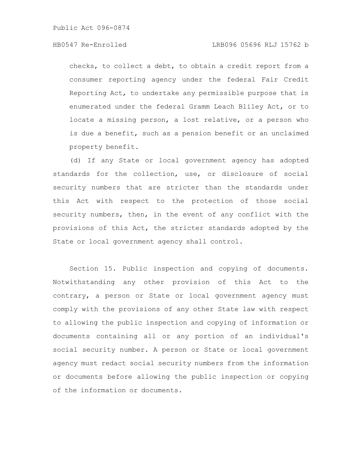checks, to collect a debt, to obtain a credit report from a consumer reporting agency under the federal Fair Credit Reporting Act, to undertake any permissible purpose that is enumerated under the federal Gramm Leach Bliley Act, or to locate a missing person, a lost relative, or a person who is due a benefit, such as a pension benefit or an unclaimed property benefit.

(d) If any State or local government agency has adopted standards for the collection, use, or disclosure of social security numbers that are stricter than the standards under this Act with respect to the protection of those social security numbers, then, in the event of any conflict with the provisions of this Act, the stricter standards adopted by the State or local government agency shall control.

Section 15. Public inspection and copying of documents. Notwithstanding any other provision of this Act to the contrary, a person or State or local government agency must comply with the provisions of any other State law with respect to allowing the public inspection and copying of information or documents containing all or any portion of an individual's social security number. A person or State or local government agency must redact social security numbers from the information or documents before allowing the public inspection or copying of the information or documents.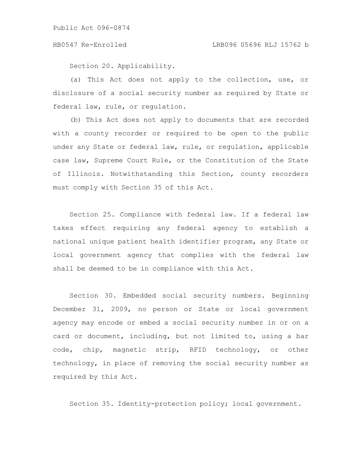Section 20. Applicability.

(a) This Act does not apply to the collection, use, or disclosure of a social security number as required by State or federal law, rule, or regulation.

(b) This Act does not apply to documents that are recorded with a county recorder or required to be open to the public under any State or federal law, rule, or regulation, applicable case law, Supreme Court Rule, or the Constitution of the State of Illinois. Notwithstanding this Section, county recorders must comply with Section 35 of this Act.

Section 25. Compliance with federal law. If a federal law takes effect requiring any federal agency to establish a national unique patient health identifier program, any State or local government agency that complies with the federal law shall be deemed to be in compliance with this Act.

Section 30. Embedded social security numbers. Beginning December 31, 2009, no person or State or local government agency may encode or embed a social security number in or on a card or document, including, but not limited to, using a bar code, chip, magnetic strip, RFID technology, or other technology, in place of removing the social security number as required by this Act.

Section 35. Identity-protection policy; local government.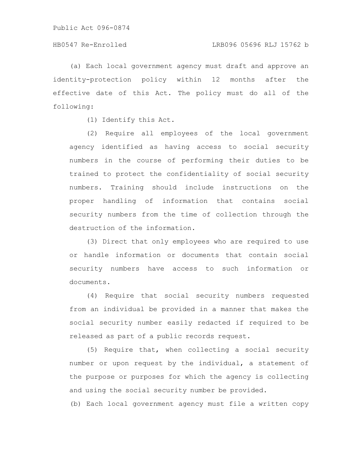(a) Each local government agency must draft and approve an identity-protection policy within 12 months after the effective date of this Act. The policy must do all of the following:

(1) Identify this Act.

(2) Require all employees of the local government agency identified as having access to social security numbers in the course of performing their duties to be trained to protect the confidentiality of social security numbers. Training should include instructions on the proper handling of information that contains social security numbers from the time of collection through the destruction of the information.

(3) Direct that only employees who are required to use or handle information or documents that contain social security numbers have access to such information or documents.

(4) Require that social security numbers requested from an individual be provided in a manner that makes the social security number easily redacted if required to be released as part of a public records request.

(5) Require that, when collecting a social security number or upon request by the individual, a statement of the purpose or purposes for which the agency is collecting and using the social security number be provided.

(b) Each local government agency must file a written copy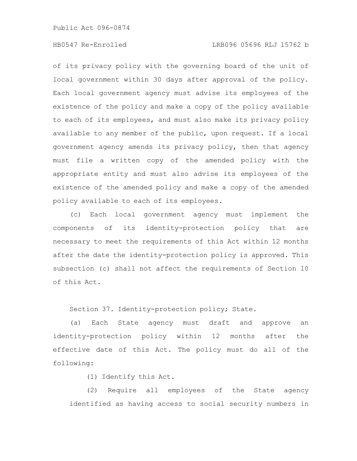## HB0547 Re-Enrolled LRB096 05696 RLJ 15762 b

of its privacy policy with the governing board of the unit of local government within 30 days after approval of the policy. Each local government agency must advise its employees of the existence of the policy and make a copy of the policy available to each of its employees, and must also make its privacy policy available to any member of the public, upon request. If a local government agency amends its privacy policy, then that agency must file a written copy of the amended policy with the appropriate entity and must also advise its employees of the existence of the amended policy and make a copy of the amended policy available to each of its employees.

(c) Each local government agency must implement the components of its identity-protection policy that are necessary to meet the requirements of this Act within 12 months after the date the identity-protection policy is approved. This subsection (c) shall not affect the requirements of Section 10 of this Act.

Section 37. Identity-protection policy; State.

(a) Each State agency must draft and approve an identity-protection policy within 12 months after the effective date of this Act. The policy must do all of the following:

(1) Identify this Act.

(2) Require all employees of the State agency identified as having access to social security numbers in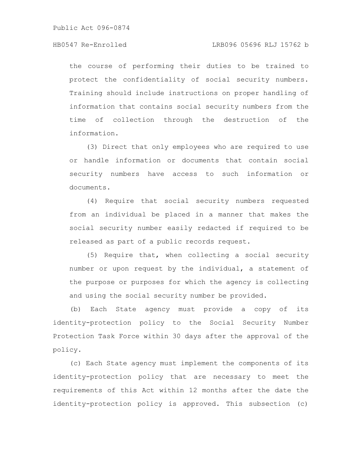the course of performing their duties to be trained to protect the confidentiality of social security numbers. Training should include instructions on proper handling of information that contains social security numbers from the time of collection through the destruction of the information.

(3) Direct that only employees who are required to use or handle information or documents that contain social security numbers have access to such information or documents.

(4) Require that social security numbers requested from an individual be placed in a manner that makes the social security number easily redacted if required to be released as part of a public records request.

(5) Require that, when collecting a social security number or upon request by the individual, a statement of the purpose or purposes for which the agency is collecting and using the social security number be provided.

(b) Each State agency must provide a copy of its identity-protection policy to the Social Security Number Protection Task Force within 30 days after the approval of the policy.

(c) Each State agency must implement the components of its identity-protection policy that are necessary to meet the requirements of this Act within 12 months after the date the identity-protection policy is approved. This subsection (c)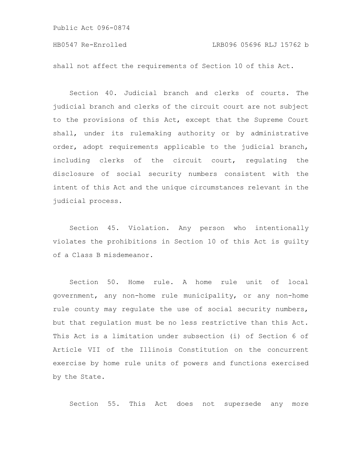shall not affect the requirements of Section 10 of this Act.

Section 40. Judicial branch and clerks of courts. The judicial branch and clerks of the circuit court are not subject to the provisions of this Act, except that the Supreme Court shall, under its rulemaking authority or by administrative order, adopt requirements applicable to the judicial branch, including clerks of the circuit court, regulating the disclosure of social security numbers consistent with the intent of this Act and the unique circumstances relevant in the judicial process.

Section 45. Violation. Any person who intentionally violates the prohibitions in Section 10 of this Act is guilty of a Class B misdemeanor.

Section 50. Home rule. A home rule unit of local government, any non-home rule municipality, or any non-home rule county may regulate the use of social security numbers, but that regulation must be no less restrictive than this Act. This Act is a limitation under subsection (i) of Section 6 of Article VII of the Illinois Constitution on the concurrent exercise by home rule units of powers and functions exercised by the State.

Section 55. This Act does not supersede any more